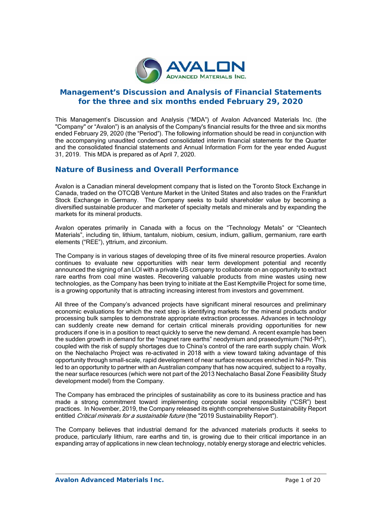

# **Management's Discussion and Analysis of Financial Statements for the three and six months ended February 29, 2020**

This Management's Discussion and Analysis ("MDA") of Avalon Advanced Materials Inc. (the "Company" or "Avalon") is an analysis of the Company's financial results for the three and six months ended February 29, 2020 (the "Period"). The following information should be read in conjunction with the accompanying unaudited condensed consolidated interim financial statements for the Quarter and the consolidated financial statements and Annual Information Form for the year ended August 31, 2019. This MDA is prepared as of April 7, 2020.

# **Nature of Business and Overall Performance**

Avalon is a Canadian mineral development company that is listed on the Toronto Stock Exchange in Canada, traded on the OTCQB Venture Market in the United States and also trades on the Frankfurt Stock Exchange in Germany. The Company seeks to build shareholder value by becoming a diversified sustainable producer and marketer of specialty metals and minerals and by expanding the markets for its mineral products.

Avalon operates primarily in Canada with a focus on the "Technology Metals" or "Cleantech Materials", including tin, lithium, tantalum, niobium, cesium, indium, gallium, germanium, rare earth elements ("REE"), yttrium, and zirconium.

The Company is in various stages of developing three of its five mineral resource properties. Avalon continues to evaluate new opportunities with near term development potential and recently announced the signing of an LOI with a private US company to collaborate on an opportunity to extract rare earths from coal mine wastes. Recovering valuable products from mine wastes using new technologies, as the Company has been trying to initiate at the East Kemptville Project for some time, is a growing opportunity that is attracting increasing interest from investors and government.

All three of the Company's advanced projects have significant mineral resources and preliminary economic evaluations for which the next step is identifying markets for the mineral products and/or processing bulk samples to demonstrate appropriate extraction processes. Advances in technology can suddenly create new demand for certain critical minerals providing opportunities for new producers if one is in a position to react quickly to serve the new demand. A recent example has been the sudden growth in demand for the "magnet rare earths" neodymium and praseodymium ("Nd-Pr"), coupled with the risk of supply shortages due to China's control of the rare earth supply chain. Work on the Nechalacho Project was re-activated in 2018 with a view toward taking advantage of this opportunity through small-scale, rapid development of near surface resources enriched in Nd-Pr. This led to an opportunity to partner with an Australian company that has now acquired, subject to a royalty, the near surface resources (which were not part of the 2013 Nechalacho Basal Zone Feasibility Study development model) from the Company.

The Company has embraced the principles of sustainability as core to its business practice and has made a strong commitment toward implementing corporate social responsibility ("CSR") best practices. In November, 2019, the Company released its eighth comprehensive Sustainability Report entitled Critical minerals for a sustainable future (the "2019 Sustainability Report").

The Company believes that industrial demand for the advanced materials products it seeks to produce, particularly lithium, rare earths and tin, is growing due to their critical importance in an expanding array of applications in new clean technology, notably energy storage and electric vehicles.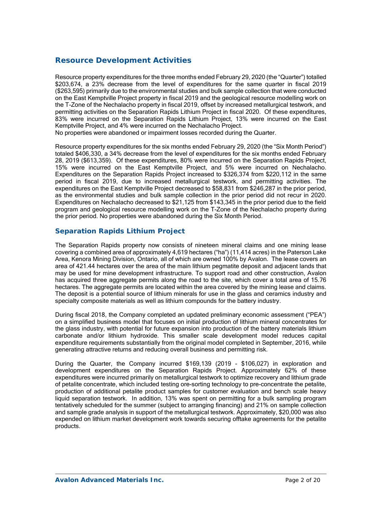# **Resource Development Activities**

Resource property expenditures for the three months ended February 29, 2020 (the "Quarter") totalled \$203,674, a 23% decrease from the level of expenditures for the same quarter in fiscal 2019 (\$263,595) primarily due to the environmental studies and bulk sample collection that were conducted on the East Kemptville Project property in fiscal 2019 and the geological resource modelling work on the T-Zone of the Nechalacho property in fiscal 2019, offset by increased metallurgical testwork, and permitting activities on the Separation Rapids Lithium Project in fiscal 2020. Of these expenditures, 83% were incurred on the Separation Rapids Lithium Project, 13% were incurred on the East Kemptville Project, and 4% were incurred on the Nechalacho Project.

No properties were abandoned or impairment losses recorded during the Quarter.

Resource property expenditures for the six months ended February 29, 2020 (the "Six Month Period") totaled \$406,330, a 34% decrease from the level of expenditures for the six months ended February 28, 2019 (\$613,359). Of these expenditures, 80% were incurred on the Separation Rapids Project, 15% were incurred on the East Kemptville Project, and 5% were incurred on Nechalacho. Expenditures on the Separation Rapids Project increased to \$326,374 from \$220,112 in the same period in fiscal 2019, due to increased metallurgical testwork, and permitting activities. The expenditures on the East Kemptville Project decreased to \$58,831 from \$246,287 in the prior period, as the environmental studies and bulk sample collection in the prior period did not recur in 2020. Expenditures on Nechalacho decreased to \$21,125 from \$143,345 in the prior period due to the field program and geological resource modelling work on the T-Zone of the Nechalacho property during the prior period. No properties were abandoned during the Six Month Period.

## *Separation Rapids Lithium Project*

The Separation Rapids property now consists of nineteen mineral claims and one mining lease covering a combined area of approximately 4,619 hectares ("ha") (11,414 acres) in the Paterson Lake Area, Kenora Mining Division, Ontario, all of which are owned 100% by Avalon. The lease covers an area of 421.44 hectares over the area of the main lithium pegmatite deposit and adjacent lands that may be used for mine development infrastructure. To support road and other construction, Avalon has acquired three aggregate permits along the road to the site, which cover a total area of 15.76 hectares. The aggregate permits are located within the area covered by the mining lease and claims. The deposit is a potential source of lithium minerals for use in the glass and ceramics industry and specialty composite materials as well as lithium compounds for the battery industry.

During fiscal 2018, the Company completed an updated preliminary economic assessment ("PEA") on a simplified business model that focuses on initial production of lithium mineral concentrates for the glass industry, with potential for future expansion into production of the battery materials lithium carbonate and/or lithium hydroxide. This smaller scale development model reduces capital expenditure requirements substantially from the original model completed in September, 2016, while generating attractive returns and reducing overall business and permitting risk.

During the Quarter, the Company incurred \$169,139 (2019 - \$106,027) in exploration and development expenditures on the Separation Rapids Project. Approximately 62% of these expenditures were incurred primarily on metallurgical testwork to optimize recovery and lithium grade of petalite concentrate, which included testing ore-sorting technology to pre-concentrate the petalite, production of additional petalite product samples for customer evaluation and bench scale heavy liquid separation testwork. In addition, 13% was spent on permitting for a bulk sampling program tentatively scheduled for the summer (subject to arranging financing) and 21% on sample collection and sample grade analysis in support of the metallurgical testwork. Approximately, \$20,000 was also expended on lithium market development work towards securing offtake agreements for the petalite products.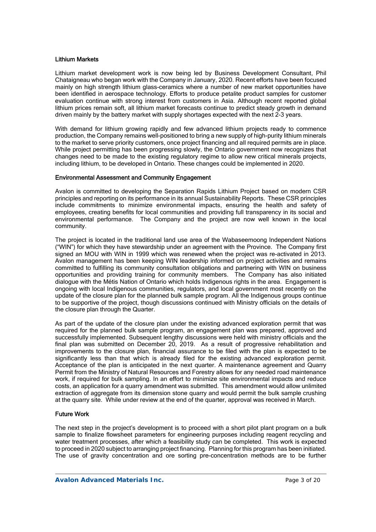#### Lithium Markets

Lithium market development work is now being led by Business Development Consultant, Phil Chataigneau who began work with the Company in January, 2020. Recent efforts have been focused mainly on high strength lithium glass-ceramics where a number of new market opportunities have been identified in aerospace technology. Efforts to produce petalite product samples for customer evaluation continue with strong interest from customers in Asia. Although recent reported global lithium prices remain soft, all lithium market forecasts continue to predict steady growth in demand driven mainly by the battery market with supply shortages expected with the next 2-3 years.

With demand for lithium growing rapidly and few advanced lithium projects ready to commence production, the Company remains well-positioned to bring a new supply of high-purity lithium minerals to the market to serve priority customers, once project financing and all required permits are in place. While project permitting has been progressing slowly, the Ontario government now recognizes that changes need to be made to the existing regulatory regime to allow new critical minerals projects, including lithium, to be developed in Ontario. These changes could be implemented in 2020.

### Environmental Assessment and Community Engagement

Avalon is committed to developing the Separation Rapids Lithium Project based on modern CSR principles and reporting on its performance in its annual Sustainability Reports. These CSR principles include commitments to minimize environmental impacts, ensuring the health and safety of employees, creating benefits for local communities and providing full transparency in its social and environmental performance. The Company and the project are now well known in the local community.

The project is located in the traditional land use area of the Wabaseemoong Independent Nations ("WIN") for which they have stewardship under an agreement with the Province. The Company first signed an MOU with WIN in 1999 which was renewed when the project was re-activated in 2013. Avalon management has been keeping WIN leadership informed on project activities and remains committed to fulfilling its community consultation obligations and partnering with WIN on business opportunities and providing training for community members. The Company has also initiated dialogue with the Métis Nation of Ontario which holds Indigenous rights in the area. Engagement is ongoing with local Indigenous communities, regulators, and local government most recently on the update of the closure plan for the planned bulk sample program. All the Indigenous groups continue to be supportive of the project, though discussions continued with Ministry officials on the details of the closure plan through the Quarter.

As part of the update of the closure plan under the existing advanced exploration permit that was required for the planned bulk sample program, an engagement plan was prepared, approved and successfully implemented. Subsequent lengthy discussions were held with ministry officials and the final plan was submitted on December 20, 2019. As a result of progressive rehabilitation and improvements to the closure plan, financial assurance to be filed with the plan is expected to be significantly less than that which is already filed for the existing advanced exploration permit. Acceptance of the plan is anticipated in the next quarter. A maintenance agreement and Quarry Permit from the Ministry of Natural Resources and Forestry allows for any needed road maintenance work, if required for bulk sampling. In an effort to minimize site environmental impacts and reduce costs, an application for a quarry amendment was submitted. This amendment would allow unlimited extraction of aggregate from its dimension stone quarry and would permit the bulk sample crushing at the quarry site. While under review at the end of the quarter, approval was received in March.

### Future Work

The next step in the project's development is to proceed with a short pilot plant program on a bulk sample to finalize flowsheet parameters for engineering purposes including reagent recycling and water treatment processes, after which a feasibility study can be completed. This work is expected to proceed in 2020 subject to arranging project financing. Planning for this program has been initiated. The use of gravity concentration and ore sorting pre-concentration methods are to be further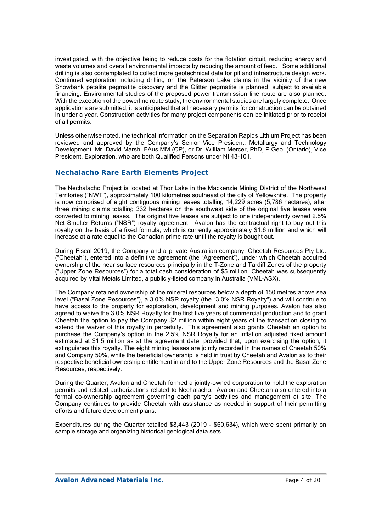investigated, with the objective being to reduce costs for the flotation circuit, reducing energy and waste volumes and overall environmental impacts by reducing the amount of feed. Some additional drilling is also contemplated to collect more geotechnical data for pit and infrastructure design work. Continued exploration including drilling on the Paterson Lake claims in the vicinity of the new Snowbank petalite pegmatite discovery and the Glitter pegmatite is planned, subject to available financing. Environmental studies of the proposed power transmission line route are also planned. With the exception of the powerline route study, the environmental studies are largely complete. Once applications are submitted, it is anticipated that all necessary permits for construction can be obtained in under a year. Construction activities for many project components can be initiated prior to receipt of all permits.

Unless otherwise noted, the technical information on the Separation Rapids Lithium Project has been reviewed and approved by the Company's Senior Vice President, Metallurgy and Technology Development, Mr. David Marsh, FAusIMM (CP), or Dr. William Mercer, PhD, P.Geo. (Ontario), Vice President, Exploration, who are both Qualified Persons under NI 43-101.

## **Nechalacho Rare Earth Elements Project**

The Nechalacho Project is located at Thor Lake in the Mackenzie Mining District of the Northwest Territories ("NWT"), approximately 100 kilometres southeast of the city of Yellowknife. The property is now comprised of eight contiguous mining leases totalling 14,229 acres (5,786 hectares), after three mining claims totalling 332 hectares on the southwest side of the original five leases were converted to mining leases. The original five leases are subject to one independently owned 2.5% Net Smelter Returns ("NSR") royalty agreement. Avalon has the contractual right to buy out this royalty on the basis of a fixed formula, which is currently approximately \$1.6 million and which will increase at a rate equal to the Canadian prime rate until the royalty is bought out.

During Fiscal 2019, the Company and a private Australian company, Cheetah Resources Pty Ltd. ("Cheetah"), entered into a definitive agreement (the "Agreement"), under which Cheetah acquired ownership of the near surface resources principally in the T-Zone and Tardiff Zones of the property ("Upper Zone Resources") for a total cash consideration of \$5 million. Cheetah was subsequently acquired by Vital Metals Limited, a publicly-listed company in Australia (VML-ASX).

The Company retained ownership of the mineral resources below a depth of 150 metres above sea level ("Basal Zone Resources"), a 3.0% NSR royalty (the "3.0% NSR Royalty") and will continue to have access to the property for exploration, development and mining purposes. Avalon has also agreed to waive the 3.0% NSR Royalty for the first five years of commercial production and to grant Cheetah the option to pay the Company \$2 million within eight years of the transaction closing to extend the waiver of this royalty in perpetuity. This agreement also grants Cheetah an option to purchase the Company's option in the 2.5% NSR Royalty for an inflation adjusted fixed amount estimated at \$1.5 million as at the agreement date, provided that, upon exercising the option, it extinguishes this royalty. The eight mining leases are jointly recorded in the names of Cheetah 50% and Company 50%, while the beneficial ownership is held in trust by Cheetah and Avalon as to their respective beneficial ownership entitlement in and to the Upper Zone Resources and the Basal Zone Resources, respectively.

During the Quarter, Avalon and Cheetah formed a jointly-owned corporation to hold the exploration permits and related authorizations related to Nechalacho. Avalon and Cheetah also entered into a formal co-ownership agreement governing each party's activities and management at site. The Company continues to provide Cheetah with assistance as needed in support of their permitting efforts and future development plans.

Expenditures during the Quarter totalled \$8,443 (2019 - \$60,634), which were spent primarily on sample storage and organizing historical geological data sets.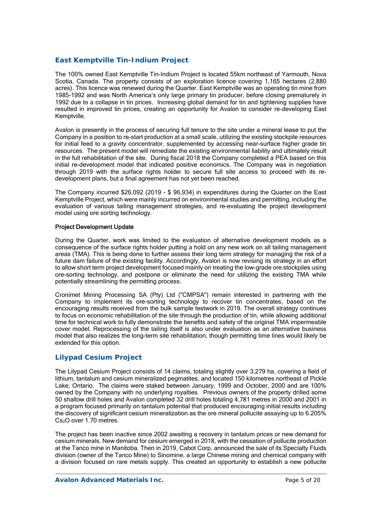## *East Kemptville Tin-Indium Project*

The 100% owned East Kemptville Tin-Indium Project is located 55km northeast of Yarmouth, Nova Scotia, Canada. The property consists of an exploration licence covering 1,165 hectares (2,880 acres). This licence was renewed during the Quarter. East Kemptville was an operating tin mine from 1985-1992 and was North America's only large primary tin producer, before closing prematurely in 1992 due to a collapse in tin prices. Increasing global demand for tin and tightening supplies have resulted in improved tin prices, creating an opportunity for Avalon to consider re-developing East Kemptville.

Avalon is presently in the process of securing full tenure to the site under a mineral lease to put the Company in a position to re-start production at a small scale, utilizing the existing stockpile resources for initial feed to a gravity concentrator, supplemented by accessing near-surface higher grade tin resources. The present model will remediate the existing environmental liability and ultimately result in the full rehabilitation of the site. During fiscal 2018 the Company completed a PEA based on this initial re-development model that indicated positive economics. The Company was in negotiation through 2019 with the surface rights holder to secure full site access to proceed with its redevelopment plans, but a final agreement has not yet been reached.

The Company incurred \$26,092 (2019 - \$ 96,934) in expenditures during the Quarter on the East Kemptville Project, which were mainly incurred on environmental studies and permitting, including the evaluation of various tailing management strategies, and re-evaluating the project development model using ore sorting technology.

### Project Development Update

During the Quarter, work was limited to the evaluation of alternative development models as a consequence of the surface rights holder putting a hold on any new work on all tailing management areas (TMA). This is being done to further assess their long term strategy for managing the risk of a future dam failure of the existing facility. Accordingly, Avalon is now revising its strategy in an effort to allow short term project development focused mainly on treating the low-grade ore stockpiles using ore-sorting technology, and postpone or eliminate the need for utilizing the existing TMA while potentially streamlining the permitting process.

Cronimet Mining Processing SA (Pty) Ltd ("CMPSA") remain interested in partnering with the Company to implement its ore-sorting technology to recover tin concentrates, based on the encouraging results received from the bulk sample testwork in 2019. The overall strategy continues to focus on economic rehabilitation of the site through the production of tin, while allowing additional time for technical work to fully demonstrate the benefits and safety of the original TMA impermeable cover model. Reprocessing of the tailing itself is also under evaluation as an alternative business model that also realizes the long-term site rehabilitation, though permitting time lines would likely be extended for this option.

## *Lilypad Cesium Project*

The Lilypad Cesium Project consists of 14 claims, totaling slightly over 3,279 ha, covering a field of lithium, tantalum and cesium mineralized pegmatites, and located 150 kilometres northeast of Pickle Lake, Ontario. The claims were staked between January, 1999 and October, 2000 and are 100% owned by the Company with no underlying royalties. Previous owners of the property drilled some 50 shallow drill holes and Avalon completed 32 drill holes totaling 4,781 metres in 2000 and 2001 in a program focused primarily on tantalum potential that produced encouraging initial results including the discovery of significant cesium mineralization as the ore mineral pollucite assaying up to 6.205% Cs2O over 1.70 metres.

The project has been inactive since 2002 awaiting a recovery in tantalum prices or new demand for cesium minerals. New demand for cesium emerged in 2018, with the cessation of pollucite production at the Tanco mine in Manitoba. Then in 2019, Cabot Corp. announced the sale of its Specialty Fluids division (owner of the Tanco Mine) to Sinomine, a large Chinese mining and chemical company with a division focused on rare metals supply. This created an opportunity to establish a new pollucite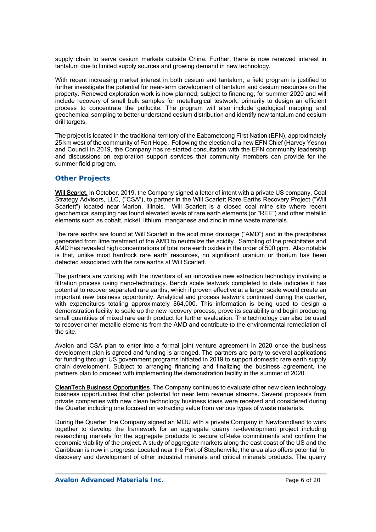supply chain to serve cesium markets outside China. Further, there is now renewed interest in tantalum due to limited supply sources and growing demand in new technology.

With recent increasing market interest in both cesium and tantalum, a field program is justified to further investigate the potential for near-term development of tantalum and cesium resources on the property. Renewed exploration work is now planned, subject to financing, for summer 2020 and will include recovery of small bulk samples for metallurgical testwork, primarily to design an efficient process to concentrate the pollucite. The program will also include geological mapping and geochemical sampling to better understand cesium distribution and identify new tantalum and cesium drill targets.

The project is located in the traditional territory of the Eabametoong First Nation (EFN), approximately 25 km west of the community of Fort Hope. Following the election of a new EFN Chief (Harvey Yesno) and Council in 2019, the Company has re-started consultation with the EFN community leadership and discussions on exploration support services that community members can provide for the summer field program.

### *Other Projects*

Will Scarlet. In October, 2019, the Company signed a letter of intent with a private US company, Coal Strategy Advisors, LLC, ("CSA"), to partner in the Will Scarlett Rare Earths Recovery Project ("Will Scarlett") located near Marion, Illinois. Will Scarlett is a closed coal mine site where recent geochemical sampling has found elevated levels of rare earth elements (or "REE") and other metallic elements such as cobalt, nickel, lithium, manganese and zinc in mine waste materials.

The rare earths are found at Will Scarlett in the acid mine drainage ("AMD") and in the precipitates generated from lime treatment of the AMD to neutralize the acidity. Sampling of the precipitates and AMD has revealed high concentrations of total rare earth oxides in the order of 500 ppm. Also notable is that, unlike most hardrock rare earth resources, no significant uranium or thorium has been detected associated with the rare earths at Will Scarlett.

The partners are working with the inventors of an innovative new extraction technology involving a filtration process using nano-technology. Bench scale testwork completed to date indicates it has potential to recover separated rare earths, which if proven effective at a larger scale would create an important new business opportunity. Analytical and process testwork continued during the quarter, with expenditures totaling approximately \$64,000. This information is being used to design a demonstration facility to scale up the new recovery process, prove its scalability and begin producing small quantities of mixed rare earth product for further evaluation. The technology can also be used to recover other metallic elements from the AMD and contribute to the environmental remediation of the site.

Avalon and CSA plan to enter into a formal joint venture agreement in 2020 once the business development plan is agreed and funding is arranged. The partners are party to several applications for funding through US government programs initiated in 2019 to support domestic rare earth supply chain development. Subject to arranging financing and finalizing the business agreement, the partners plan to proceed with implementing the demonstration facility in the summer of 2020.

CleanTech Business Opportunities. The Company continues to evaluate other new clean technology business opportunities that offer potential for near term revenue streams. Several proposals from private companies with new clean technology business ideas were received and considered during the Quarter including one focused on extracting value from various types of waste materials.

During the Quarter, the Company signed an MOU with a private Company in Newfoundland to work together to develop the framework for an aggregate quarry re-development project including researching markets for the aggregate products to secure off-take commitments and confirm the economic viability of the project. A study of aggregate markets along the east coast of the US and the Caribbean is now in progress. Located near the Port of Stephenville, the area also offers potential for discovery and development of other industrial minerals and critical minerals products. The quarry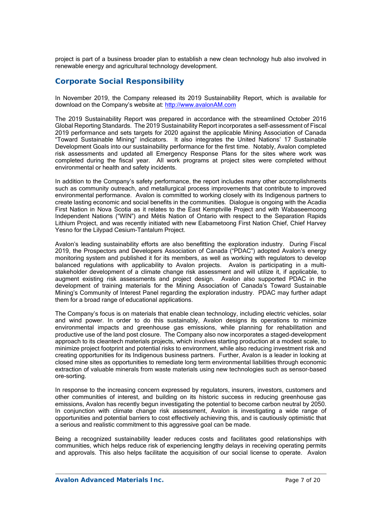project is part of a business broader plan to establish a new clean technology hub also involved in renewable energy and agricultural technology development.

# **Corporate Social Responsibility**

In November 2019, the Company released its 2019 Sustainability Report, which is available for download on the Company's website at: http://www.avalonAM.com

The 2019 Sustainability Report was prepared in accordance with the streamlined October 2016 Global Reporting Standards. The 2019 Sustainability Report incorporates a self-assessment of Fiscal 2019 performance and sets targets for 2020 against the applicable Mining Association of Canada "Toward Sustainable Mining" indicators. It also integrates the United Nations' 17 Sustainable Development Goals into our sustainability performance for the first time. Notably, Avalon completed risk assessments and updated all Emergency Response Plans for the sites where work was completed during the fiscal year. All work programs at project sites were completed without environmental or health and safety incidents.

In addition to the Company's safety performance, the report includes many other accomplishments such as community outreach, and metallurgical process improvements that contribute to improved environmental performance. Avalon is committed to working closely with its Indigenous partners to create lasting economic and social benefits in the communities. Dialogue is ongoing with the Acadia First Nation in Nova Scotia as it relates to the East Kemptville Project and with Wabaseemoong Independent Nations ("WIN") and Métis Nation of Ontario with respect to the Separation Rapids Lithium Project, and was recently initiated with new Eabametoong First Nation Chief, Chief Harvey Yesno for the Lilypad Cesium-Tantalum Project.

Avalon's leading sustainability efforts are also benefitting the exploration industry. During Fiscal 2019, the Prospectors and Developers Association of Canada ("PDAC") adopted Avalon's energy monitoring system and published it for its members, as well as working with regulators to develop balanced regulations with applicability to Avalon projects. Avalon is participating in a multistakeholder development of a climate change risk assessment and will utilize it, if applicable, to augment existing risk assessments and project design. Avalon also supported PDAC in the development of training materials for the Mining Association of Canada's Toward Sustainable Mining's Community of Interest Panel regarding the exploration industry. PDAC may further adapt them for a broad range of educational applications.

The Company's focus is on materials that enable clean technology, including electric vehicles, solar and wind power. In order to do this sustainably, Avalon designs its operations to minimize environmental impacts and greenhouse gas emissions, while planning for rehabilitation and productive use of the land post closure. The Company also now incorporates a staged-development approach to its cleantech materials projects, which involves starting production at a modest scale, to minimize project footprint and potential risks to environment, while also reducing investment risk and creating opportunities for its Indigenous business partners. Further, Avalon is a leader in looking at closed mine sites as opportunities to remediate long term environmental liabilities through economic extraction of valuable minerals from waste materials using new technologies such as sensor-based ore-sorting.

In response to the increasing concern expressed by regulators, insurers, investors, customers and other communities of interest, and building on its historic success in reducing greenhouse gas emissions, Avalon has recently begun investigating the potential to become carbon neutral by 2050. In conjunction with climate change risk assessment, Avalon is investigating a wide range of opportunities and potential barriers to cost effectively achieving this, and is cautiously optimistic that a serious and realistic commitment to this aggressive goal can be made.

Being a recognized sustainability leader reduces costs and facilitates good relationships with communities, which helps reduce risk of experiencing lengthy delays in receiving operating permits and approvals. This also helps facilitate the acquisition of our social license to operate. Avalon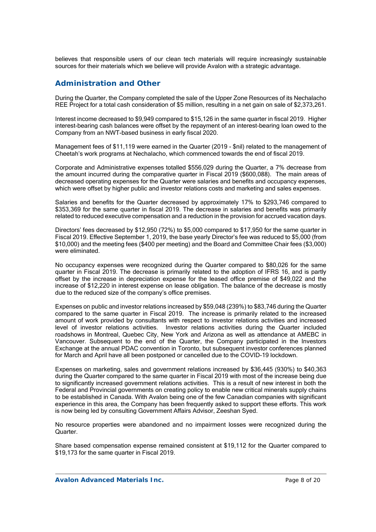believes that responsible users of our clean tech materials will require increasingly sustainable sources for their materials which we believe will provide Avalon with a strategic advantage.

## **Administration and Other**

During the Quarter, the Company completed the sale of the Upper Zone Resources of its Nechalacho REE Project for a total cash consideration of \$5 million, resulting in a net gain on sale of \$2,373,261.

Interest income decreased to \$9,949 compared to \$15,126 in the same quarter in fiscal 2019. Higher interest-bearing cash balances were offset by the repayment of an interest-bearing loan owed to the Company from an NWT-based business in early fiscal 2020.

Management fees of \$11,119 were earned in the Quarter (2019 - \$nil) related to the management of Cheetah's work programs at Nechalacho, which commenced towards the end of fiscal 2019.

Corporate and Administrative expenses totalled \$556,029 during the Quarter, a 7% decrease from the amount incurred during the comparative quarter in Fiscal 2019 (\$600,088). The main areas of decreased operating expenses for the Quarter were salaries and benefits and occupancy expenses, which were offset by higher public and investor relations costs and marketing and sales expenses.

Salaries and benefits for the Quarter decreased by approximately 17% to \$293,746 compared to \$353,369 for the same quarter in fiscal 2019. The decrease in salaries and benefits was primarily related to reduced executive compensation and a reduction in the provision for accrued vacation days.

Directors' fees decreased by \$12,950 (72%) to \$5,000 compared to \$17,950 for the same quarter in Fiscal 2019. Effective September 1, 2019, the base yearly Director's fee was reduced to \$5,000 (from \$10,000) and the meeting fees (\$400 per meeting) and the Board and Committee Chair fees (\$3,000) were eliminated.

No occupancy expenses were recognized during the Quarter compared to \$80,026 for the same quarter in Fiscal 2019. The decrease is primarily related to the adoption of IFRS 16, and is partly offset by the increase in depreciation expense for the leased office premise of \$49,022 and the increase of \$12,220 in interest expense on lease obligation. The balance of the decrease is mostly due to the reduced size of the company's office premises.

Expenses on public and investor relations increased by \$59,048 (239%) to \$83,746 during the Quarter compared to the same quarter in Fiscal 2019. The increase is primarily related to the increased amount of work provided by consultants with respect to investor relations activities and increased level of investor relations activities. Investor relations activities during the Quarter included roadshows in Montreal, Quebec City, New York and Arizona as well as attendance at AMEBC in Vancouver. Subsequent to the end of the Quarter, the Company participated in the Investors Exchange at the annual PDAC convention in Toronto, but subsequent investor conferences planned for March and April have all been postponed or cancelled due to the COVID-19 lockdown.

Expenses on marketing, sales and government relations increased by \$36,445 (930%) to \$40,363 during the Quarter compared to the same quarter in Fiscal 2019 with most of the increase being due to significantly increased government relations activities. This is a result of new interest in both the Federal and Provincial governments on creating policy to enable new critical minerals supply chains to be established in Canada. With Avalon being one of the few Canadian companies with significant experience in this area, the Company has been frequently asked to support these efforts. This work is now being led by consulting Government Affairs Advisor, Zeeshan Syed.

No resource properties were abandoned and no impairment losses were recognized during the Quarter.

Share based compensation expense remained consistent at \$19,112 for the Quarter compared to \$19,173 for the same quarter in Fiscal 2019.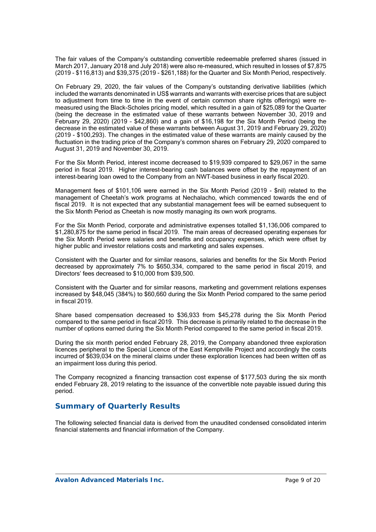The fair values of the Company's outstanding convertible redeemable preferred shares (issued in March 2017, January 2018 and July 2018) were also re-measured, which resulted in losses of \$7,875 (2019 - \$116,813) and \$39,375 (2019 - \$261,188) for the Quarter and Six Month Period, respectively.

On February 29, 2020, the fair values of the Company's outstanding derivative liabilities (which included the warrants denominated in US\$ warrants and warrants with exercise prices that are subject to adjustment from time to time in the event of certain common share rights offerings) were remeasured using the Black-Scholes pricing model, which resulted in a gain of \$25,089 for the Quarter (being the decrease in the estimated value of these warrants between November 30, 2019 and February 29, 2020) (2019 – \$42,860) and a gain of \$16,198 for the Six Month Period (being the decrease in the estimated value of these warrants between August 31, 2019 and February 29, 2020) (2019 - \$100,293). The changes in the estimated value of these warrants are mainly caused by the fluctuation in the trading price of the Company's common shares on February 29, 2020 compared to August 31, 2019 and November 30, 2019.

For the Six Month Period, interest income decreased to \$19,939 compared to \$29,067 in the same period in fiscal 2019. Higher interest-bearing cash balances were offset by the repayment of an interest-bearing loan owed to the Company from an NWT-based business in early fiscal 2020.

Management fees of \$101,106 were earned in the Six Month Period (2019 - \$nil) related to the management of Cheetah's work programs at Nechalacho, which commenced towards the end of fiscal 2019. It is not expected that any substantial management fees will be earned subsequent to the Six Month Period as Cheetah is now mostly managing its own work programs.

For the Six Month Period, corporate and administrative expenses totalled \$1,136,006 compared to \$1,280,875 for the same period in fiscal 2019. The main areas of decreased operating expenses for the Six Month Period were salaries and benefits and occupancy expenses, which were offset by higher public and investor relations costs and marketing and sales expenses.

Consistent with the Quarter and for similar reasons, salaries and benefits for the Six Month Period decreased by approximately 7% to \$650,334, compared to the same period in fiscal 2019, and Directors' fees decreased to \$10,000 from \$39,500.

Consistent with the Quarter and for similar reasons, marketing and government relations expenses increased by \$48,045 (384%) to \$60,660 during the Six Month Period compared to the same period in fiscal 2019.

Share based compensation decreased to \$36,933 from \$45,278 during the Six Month Period compared to the same period in fiscal 2019. This decrease is primarily related to the decrease in the number of options earned during the Six Month Period compared to the same period in fiscal 2019.

During the six month period ended February 28, 2019, the Company abandoned three exploration licences peripheral to the Special Licence of the East Kemptville Project and accordingly the costs incurred of \$639,034 on the mineral claims under these exploration licences had been written off as an impairment loss during this period.

The Company recognized a financing transaction cost expense of \$177,503 during the six month ended February 28, 2019 relating to the issuance of the convertible note payable issued during this period.

# **Summary of Quarterly Results**

The following selected financial data is derived from the unaudited condensed consolidated interim financial statements and financial information of the Company.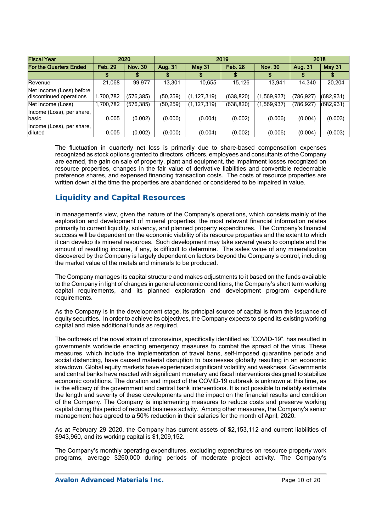| <b>Fiscal Year</b>                                  |                | 2020           |                | 2019          | 2018      |                |           |            |
|-----------------------------------------------------|----------------|----------------|----------------|---------------|-----------|----------------|-----------|------------|
| <b>For the Quarters Ended</b>                       | <b>Feb. 29</b> | <b>Nov. 30</b> | <b>Aug. 31</b> | <b>May 31</b> |           | <b>Nov. 30</b> | Aug. 31   |            |
|                                                     |                |                |                |               |           |                |           |            |
| Revenue                                             | 21,068         | 99,977         | 13,301         | 10,655        | 15,126    | 13,941         | 14,340    | 20,204     |
| Net Income (Loss) before<br>discontinued operations | ,700,782       | (576,385)      | (50, 259)      | (1, 127, 319) | (638,820) | (1,569,937)    | (786,927) | (682, 931) |
| Net Income (Loss)                                   | ,700,782       | (576, 385)     | (50, 259)      | (1, 127, 319) | (638,820) | (1,569,937)    | 786,927)  | (682, 931) |
| Income (Loss), per share,<br>basic                  | 0.005          | (0.002)        | (0.000)        | (0.004)       | (0.002)   | (0.006)        | (0.004)   | (0.003)    |
| Income (Loss), per share,<br>diluted                | 0.005          | (0.002)        | (0.000)        | (0.004)       | (0.002)   | (0.006)        | (0.004)   | (0.003)    |

The fluctuation in quarterly net loss is primarily due to share-based compensation expenses recognized as stock options granted to directors, officers, employees and consultants of the Company are earned, the gain on sale of property, plant and equipment, the impairment losses recognized on resource properties, changes in the fair value of derivative liabilities and convertible redeemable preference shares, and expensed financing transaction costs. The costs of resource properties are written down at the time the properties are abandoned or considered to be impaired in value.

# **Liquidity and Capital Resources**

In management's view, given the nature of the Company's operations, which consists mainly of the exploration and development of mineral properties, the most relevant financial information relates primarily to current liquidity, solvency, and planned property expenditures. The Company's financial success will be dependent on the economic viability of its resource properties and the extent to which it can develop its mineral resources. Such development may take several years to complete and the amount of resulting income, if any, is difficult to determine. The sales value of any mineralization discovered by the Company is largely dependent on factors beyond the Company's control, including the market value of the metals and minerals to be produced.

The Company manages its capital structure and makes adjustments to it based on the funds available to the Company in light of changes in general economic conditions, the Company's short term working capital requirements, and its planned exploration and development program expenditure requirements.

As the Company is in the development stage, its principal source of capital is from the issuance of equity securities. In order to achieve its objectives, the Company expects to spend its existing working capital and raise additional funds as required.

The outbreak of the novel strain of coronavirus, specifically identified as "COVID-19", has resulted in governments worldwide enacting emergency measures to combat the spread of the virus. These measures, which include the implementation of travel bans, self-imposed quarantine periods and social distancing, have caused material disruption to businesses globally resulting in an economic slowdown. Global equity markets have experienced significant volatility and weakness. Governments and central banks have reacted with significant monetary and fiscal interventions designed to stabilize economic conditions. The duration and impact of the COVID-19 outbreak is unknown at this time, as is the efficacy of the government and central bank interventions. It is not possible to reliably estimate the length and severity of these developments and the impact on the financial results and condition of the Company. The Company is implementing measures to reduce costs and preserve working capital during this period of reduced business activity. Among other measures, the Company's senior management has agreed to a 50% reduction in their salaries for the month of April, 2020.

As at February 29 2020, the Company has current assets of \$2,153,112 and current liabilities of \$943,960, and its working capital is \$1,209,152.

The Company's monthly operating expenditures, excluding expenditures on resource property work programs, average \$260,000 during periods of moderate project activity. The Company's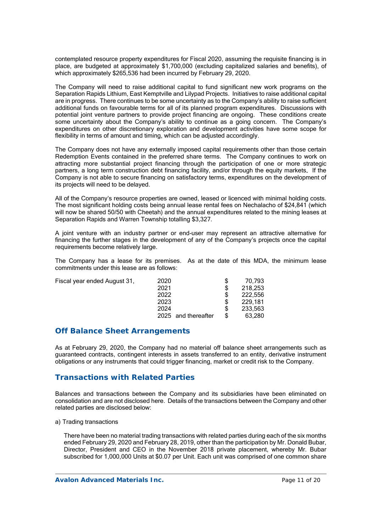contemplated resource property expenditures for Fiscal 2020, assuming the requisite financing is in place, are budgeted at approximately \$1,700,000 (excluding capitalized salaries and benefits), of which approximately \$265,536 had been incurred by February 29, 2020.

The Company will need to raise additional capital to fund significant new work programs on the Separation Rapids Lithium, East Kemptville and Lilypad Projects. Initiatives to raise additional capital are in progress. There continues to be some uncertainty as to the Company's ability to raise sufficient additional funds on favourable terms for all of its planned program expenditures. Discussions with potential joint venture partners to provide project financing are ongoing. These conditions create some uncertainty about the Company's ability to continue as a going concern. The Company's expenditures on other discretionary exploration and development activities have some scope for flexibility in terms of amount and timing, which can be adjusted accordingly.

The Company does not have any externally imposed capital requirements other than those certain Redemption Events contained in the preferred share terms. The Company continues to work on attracting more substantial project financing through the participation of one or more strategic partners, a long term construction debt financing facility, and/or through the equity markets. If the Company is not able to secure financing on satisfactory terms, expenditures on the development of its projects will need to be delayed.

All of the Company's resource properties are owned, leased or licenced with minimal holding costs. The most significant holding costs being annual lease rental fees on Nechalacho of \$24,841 (which will now be shared 50/50 with Cheetah) and the annual expenditures related to the mining leases at Separation Rapids and Warren Township totalling \$3,327.

A joint venture with an industry partner or end-user may represent an attractive alternative for financing the further stages in the development of any of the Company's projects once the capital requirements become relatively large.

The Company has a lease for its premises. As at the date of this MDA, the minimum lease commitments under this lease are as follows:

| Fiscal year ended August 31. | 2020                | S | 70,793  |
|------------------------------|---------------------|---|---------|
|                              | 2021                | S | 218.253 |
|                              | 2022                | S | 222.556 |
|                              | 2023                |   | 229.181 |
|                              | 2024                | S | 233.563 |
|                              | 2025 and thereafter |   | 63.280  |

## **Off Balance Sheet Arrangements**

As at February 29, 2020, the Company had no material off balance sheet arrangements such as guaranteed contracts, contingent interests in assets transferred to an entity, derivative instrument obligations or any instruments that could trigger financing, market or credit risk to the Company.

### **Transactions with Related Parties**

Balances and transactions between the Company and its subsidiaries have been eliminated on consolidation and are not disclosed here. Details of the transactions between the Company and other related parties are disclosed below:

a) Trading transactions

There have been no material trading transactions with related parties during each of the six months ended February 29, 2020 and February 28, 2019, other than the participation by Mr. Donald Bubar, Director, President and CEO in the November 2018 private placement, whereby Mr. Bubar subscribed for 1,000,000 Units at \$0.07 per Unit. Each unit was comprised of one common share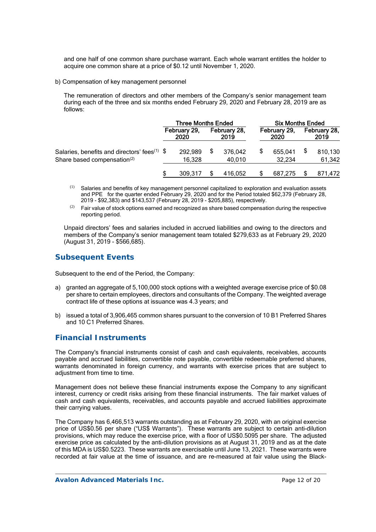and one half of one common share purchase warrant. Each whole warrant entitles the holder to acquire one common share at a price of \$0.12 until November 1, 2020.

b) Compensation of key management personnel

The remuneration of directors and other members of the Company's senior management team during each of the three and six months ended February 29, 2020 and February 28, 2019 are as follows:

|                                                           | <b>Three Months Ended</b> |                      |  |                      | <b>Six Months Ended</b> |                      |  |                      |
|-----------------------------------------------------------|---------------------------|----------------------|--|----------------------|-------------------------|----------------------|--|----------------------|
|                                                           |                           | February 29,<br>2020 |  | February 28,<br>2019 |                         | February 29,<br>2020 |  | February 28,<br>2019 |
| Salaries, benefits and directors' fees <sup>(1)</sup> $\$ |                           | 292,989              |  | 376.042              |                         | 655,041              |  | 810,130              |
| Share based compensation <sup>(2)</sup>                   |                           | 16.328               |  | 40,010               |                         | 32.234               |  | 61,342               |
|                                                           |                           | 309.317              |  | 416.052              |                         | 687,275              |  | 871.472              |

- $<sup>(1)</sup>$  Salaries and benefits of key management personnel capitalized to exploration and evaluation assets</sup> and PPE for the quarter ended February 29, 2020 and for the Period totaled \$62,379 (February 28, 2019 - \$92,383) and \$143,537 (February 28, 2019 - \$205,885), respectively.
- $(2)$  Fair value of stock options earned and recognized as share based compensation during the respective reporting period.

Unpaid directors' fees and salaries included in accrued liabilities and owing to the directors and members of the Company's senior management team totaled \$279,633 as at February 29, 2020 (August 31, 2019 - \$566,685).

# **Subsequent Events**

Subsequent to the end of the Period, the Company:

- a) granted an aggregate of 5,100,000 stock options with a weighted average exercise price of \$0.08 per share to certain employees, directors and consultants of the Company. The weighted average contract life of these options at issuance was 4.3 years; and
- b) issued a total of 3,906,465 common shares pursuant to the conversion of 10 B1 Preferred Shares and 10 C1 Preferred Shares.

# **Financial Instruments**

The Company's financial instruments consist of cash and cash equivalents, receivables, accounts payable and accrued liabilities, convertible note payable, convertible redeemable preferred shares, warrants denominated in foreign currency, and warrants with exercise prices that are subject to adjustment from time to time.

Management does not believe these financial instruments expose the Company to any significant interest, currency or credit risks arising from these financial instruments. The fair market values of cash and cash equivalents, receivables, and accounts payable and accrued liabilities approximate their carrying values.

The Company has 6,466,513 warrants outstanding as at February 29, 2020, with an original exercise price of US\$0.56 per share ("US\$ Warrants"). These warrants are subject to certain anti-dilution provisions, which may reduce the exercise price, with a floor of US\$0.5095 per share. The adjusted exercise price as calculated by the anti-dilution provisions as at August 31, 2019 and as at the date of this MDA is US\$0.5223. These warrants are exercisable until June 13, 2021. These warrants were recorded at fair value at the time of issuance, and are re-measured at fair value using the Black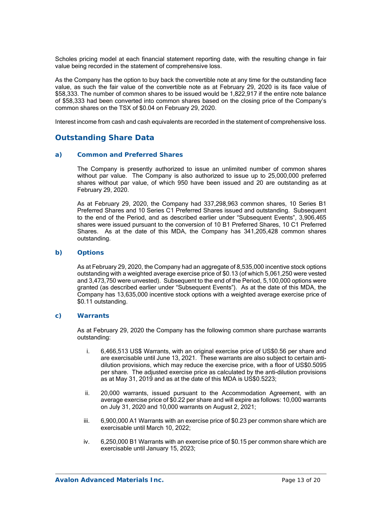Scholes pricing model at each financial statement reporting date, with the resulting change in fair value being recorded in the statement of comprehensive loss.

As the Company has the option to buy back the convertible note at any time for the outstanding face value, as such the fair value of the convertible note as at February 29, 2020 is its face value of \$58,333. The number of common shares to be issued would be 1,822,917 if the entire note balance of \$58,333 had been converted into common shares based on the closing price of the Company's common shares on the TSX of \$0.04 on February 29, 2020.

Interest income from cash and cash equivalents are recorded in the statement of comprehensive loss.

# **Outstanding Share Data**

### *a) Common and Preferred Shares*

The Company is presently authorized to issue an unlimited number of common shares without par value. The Company is also authorized to issue up to 25,000,000 preferred shares without par value, of which 950 have been issued and 20 are outstanding as at February 29, 2020.

As at February 29, 2020, the Company had 337,298,963 common shares, 10 Series B1 Preferred Shares and 10 Series C1 Preferred Shares issued and outstanding. Subsequent to the end of the Period, and as described earlier under "Subsequent Events", 3,906,465 shares were issued pursuant to the conversion of 10 B1 Preferred Shares, 10 C1 Preferred Shares. As at the date of this MDA, the Company has 341,205,428 common shares outstanding.

### *b) Options*

As at February 29, 2020, the Company had an aggregate of 8,535,000 incentive stock options outstanding with a weighted average exercise price of \$0.13 (of which 5,061,250 were vested and 3,473,750 were unvested). Subsequent to the end of the Period, 5,100,000 options were granted (as described earlier under "Subsequent Events"). As at the date of this MDA, the Company has 13,635,000 incentive stock options with a weighted average exercise price of \$0.11 outstanding.

### *c) Warrants*

As at February 29, 2020 the Company has the following common share purchase warrants outstanding:

- i. 6,466,513 US\$ Warrants, with an original exercise price of US\$0.56 per share and are exercisable until June 13, 2021. These warrants are also subject to certain antidilution provisions, which may reduce the exercise price, with a floor of US\$0.5095 per share. The adjusted exercise price as calculated by the anti-dilution provisions as at May 31, 2019 and as at the date of this MDA is US\$0.5223;
- ii. 20,000 warrants, issued pursuant to the Accommodation Agreement, with an average exercise price of \$0.22 per share and will expire as follows: 10,000 warrants on July 31, 2020 and 10,000 warrants on August 2, 2021;
- iii. 6,900,000 A1 Warrants with an exercise price of \$0.23 per common share which are exercisable until March 10, 2022;
- iv. 6,250,000 B1 Warrants with an exercise price of \$0.15 per common share which are exercisable until January 15, 2023;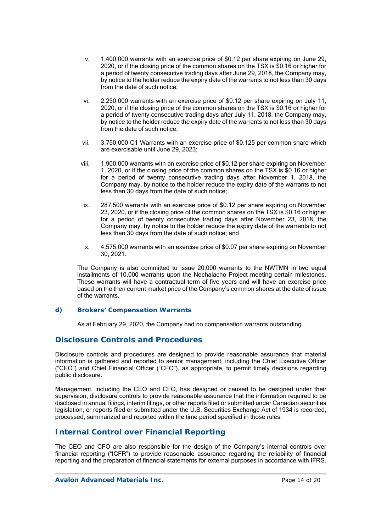- v. 1,400,000 warrants with an exercise price of \$0.12 per share expiring on June 29, 2020, or if the closing price of the common shares on the TSX is \$0.16 or higher for a period of twenty consecutive trading days after June 29, 2018, the Company may, by notice to the holder reduce the expiry date of the warrants to not less than 30 days from the date of such notice;
- vi. 2,250,000 warrants with an exercise price of \$0.12 per share expiring on July 11, 2020, or if the closing price of the common shares on the TSX is \$0.16 or higher for a period of twenty consecutive trading days after July 11, 2018, the Company may, by notice to the holder reduce the expiry date of the warrants to not less than 30 days from the date of such notice;
- vii. 3,750,000 C1 Warrants with an exercise price of \$0.125 per common share which are exercisable until June 29, 2023;
- viii. 1,900,000 warrants with an exercise price of \$0.12 per share expiring on November 1, 2020, or if the closing price of the common shares on the TSX is \$0.16 or higher for a period of twenty consecutive trading days after November 1, 2018, the Company may, by notice to the holder reduce the expiry date of the warrants to not less than 30 days from the date of such notice;
- ix. 287,500 warrants with an exercise price of \$0.12 per share expiring on November 23, 2020, or if the closing price of the common shares on the TSX is \$0.16 or higher for a period of twenty consecutive trading days after November 23, 2018, the Company may, by notice to the holder reduce the expiry date of the warrants to not less than 30 days from the date of such notice; and
- x. 4,575,000 warrants with an exercise price of \$0.07 per share expiring on November 30, 2021.

The Company is also committed to issue 20,000 warrants to the NWTMN in two equal installments of 10,000 warrants upon the Nechalacho Project meeting certain milestones. These warrants will have a contractual term of five years and will have an exercise price based on the then current market price of the Company's common shares at the date of issue of the warrants.

### *d) Brokers' Compensation Warrants*

As at February 29, 2020, the Company had no compensation warrants outstanding.

## **Disclosure Controls and Procedures**

Disclosure controls and procedures are designed to provide reasonable assurance that material information is gathered and reported to senior management, including the Chief Executive Officer ("CEO") and Chief Financial Officer ("CFO"), as appropriate, to permit timely decisions regarding public disclosure.

Management, including the CEO and CFO, has designed or caused to be designed under their supervision, disclosure controls to provide reasonable assurance that the information required to be disclosed in annual filings, interim filings, or other reports filed or submitted under Canadian securities legislation, or reports filed or submitted under the U.S. Securities Exchange Act of 1934 is recorded, processed, summarized and reported within the time period specified in those rules.

# **Internal Control over Financial Reporting**

The CEO and CFO are also responsible for the design of the Company's internal controls over financial reporting ("ICFR") to provide reasonable assurance regarding the reliability of financial reporting and the preparation of financial statements for external purposes in accordance with IFRS.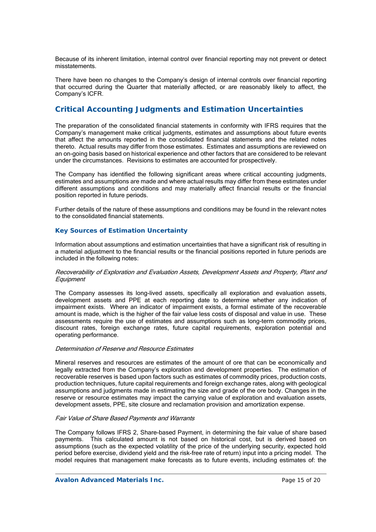Because of its inherent limitation, internal control over financial reporting may not prevent or detect misstatements.

There have been no changes to the Company's design of internal controls over financial reporting that occurred during the Quarter that materially affected, or are reasonably likely to affect, the Company's ICFR.

# **Critical Accounting Judgments and Estimation Uncertainties**

The preparation of the consolidated financial statements in conformity with IFRS requires that the Company's management make critical judgments, estimates and assumptions about future events that affect the amounts reported in the consolidated financial statements and the related notes thereto. Actual results may differ from those estimates. Estimates and assumptions are reviewed on an on-going basis based on historical experience and other factors that are considered to be relevant under the circumstances. Revisions to estimates are accounted for prospectively.

The Company has identified the following significant areas where critical accounting judgments, estimates and assumptions are made and where actual results may differ from these estimates under different assumptions and conditions and may materially affect financial results or the financial position reported in future periods.

Further details of the nature of these assumptions and conditions may be found in the relevant notes to the consolidated financial statements.

### *Key Sources of Estimation Uncertainty*

Information about assumptions and estimation uncertainties that have a significant risk of resulting in a material adjustment to the financial results or the financial positions reported in future periods are included in the following notes:

#### Recoverability of Exploration and Evaluation Assets, Development Assets and Property, Plant and **Equipment**

The Company assesses its long-lived assets, specifically all exploration and evaluation assets, development assets and PPE at each reporting date to determine whether any indication of impairment exists. Where an indicator of impairment exists, a formal estimate of the recoverable amount is made, which is the higher of the fair value less costs of disposal and value in use. These assessments require the use of estimates and assumptions such as long-term commodity prices, discount rates, foreign exchange rates, future capital requirements, exploration potential and operating performance.

### Determination of Reserve and Resource Estimates

Mineral reserves and resources are estimates of the amount of ore that can be economically and legally extracted from the Company's exploration and development properties. The estimation of recoverable reserves is based upon factors such as estimates of commodity prices, production costs, production techniques, future capital requirements and foreign exchange rates, along with geological assumptions and judgments made in estimating the size and grade of the ore body. Changes in the reserve or resource estimates may impact the carrying value of exploration and evaluation assets, development assets, PPE, site closure and reclamation provision and amortization expense.

### Fair Value of Share Based Payments and Warrants

The Company follows IFRS 2, Share-based Payment, in determining the fair value of share based payments. This calculated amount is not based on historical cost, but is derived based on assumptions (such as the expected volatility of the price of the underlying security, expected hold period before exercise, dividend yield and the risk-free rate of return) input into a pricing model. The model requires that management make forecasts as to future events, including estimates of: the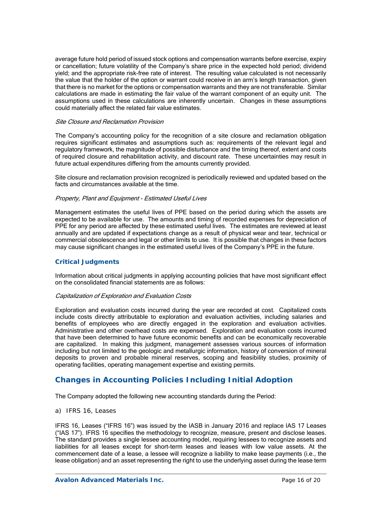average future hold period of issued stock options and compensation warrants before exercise, expiry or cancellation; future volatility of the Company's share price in the expected hold period; dividend yield; and the appropriate risk-free rate of interest. The resulting value calculated is not necessarily the value that the holder of the option or warrant could receive in an arm's length transaction, given that there is no market for the options or compensation warrants and they are not transferable. Similar calculations are made in estimating the fair value of the warrant component of an equity unit. The assumptions used in these calculations are inherently uncertain. Changes in these assumptions could materially affect the related fair value estimates.

#### Site Closure and Reclamation Provision

The Company's accounting policy for the recognition of a site closure and reclamation obligation requires significant estimates and assumptions such as: requirements of the relevant legal and regulatory framework, the magnitude of possible disturbance and the timing thereof, extent and costs of required closure and rehabilitation activity, and discount rate. These uncertainties may result in future actual expenditures differing from the amounts currently provided.

Site closure and reclamation provision recognized is periodically reviewed and updated based on the facts and circumstances available at the time.

### Property, Plant and Equipment - Estimated Useful Lives

Management estimates the useful lives of PPE based on the period during which the assets are expected to be available for use. The amounts and timing of recorded expenses for depreciation of PPE for any period are affected by these estimated useful lives. The estimates are reviewed at least annually and are updated if expectations change as a result of physical wear and tear, technical or commercial obsolescence and legal or other limits to use. It is possible that changes in these factors may cause significant changes in the estimated useful lives of the Company's PPE in the future.

### *Critical Judgments*

Information about critical judgments in applying accounting policies that have most significant effect on the consolidated financial statements are as follows:

#### Capitalization of Exploration and Evaluation Costs

Exploration and evaluation costs incurred during the year are recorded at cost. Capitalized costs include costs directly attributable to exploration and evaluation activities, including salaries and benefits of employees who are directly engaged in the exploration and evaluation activities. Administrative and other overhead costs are expensed. Exploration and evaluation costs incurred that have been determined to have future economic benefits and can be economically recoverable are capitalized. In making this judgment, management assesses various sources of information including but not limited to the geologic and metallurgic information, history of conversion of mineral deposits to proven and probable mineral reserves, scoping and feasibility studies, proximity of operating facilities, operating management expertise and existing permits.

# **Changes in Accounting Policies Including Initial Adoption**

The Company adopted the following new accounting standards during the Period:

*a) IFRS 16, Leases* 

IFRS 16, Leases ("IFRS 16") was issued by the IASB in January 2016 and replace IAS 17 Leases ("IAS 17"). IFRS 16 specifies the methodology to recognize, measure, present and disclose leases. The standard provides a single lessee accounting model, requiring lessees to recognize assets and liabilities for all leases except for short-term leases and leases with low value assets. At the commencement date of a lease, a lessee will recognize a liability to make lease payments (i.e., the lease obligation) and an asset representing the right to use the underlying asset during the lease term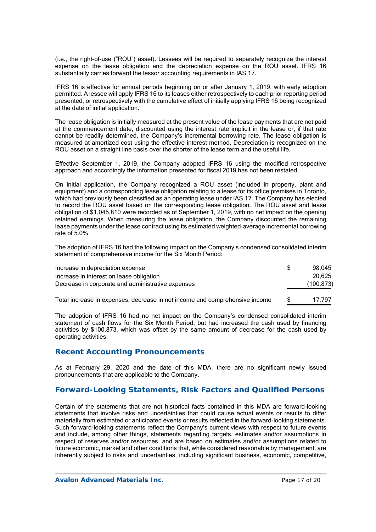(i.e., the right-of-use ("ROU") asset). Lessees will be required to separately recognize the interest expense on the lease obligation and the depreciation expense on the ROU asset. IFRS 16 substantially carries forward the lessor accounting requirements in IAS 17.

IFRS 16 is effective for annual periods beginning on or after January 1, 2019, with early adoption permitted. A lessee will apply IFRS 16 to its leases either retrospectively to each prior reporting period presented; or retrospectively with the cumulative effect of initially applying IFRS 16 being recognized at the date of initial application.

The lease obligation is initially measured at the present value of the lease payments that are not paid at the commencement date, discounted using the interest rate implicit in the lease or, if that rate cannot be readily determined, the Company's incremental borrowing rate. The lease obligation is measured at amortized cost using the effective interest method. Depreciation is recognized on the ROU asset on a straight line basis over the shorter of the lease term and the useful life.

Effective September 1, 2019, the Company adopted IFRS 16 using the modified retrospective approach and accordingly the information presented for fiscal 2019 has not been restated.

On initial application, the Company recognized a ROU asset (included in property, plant and equipment) and a corresponding lease obligation relating to a lease for its office premises in Toronto, which had previously been classified as an operating lease under IAS 17. The Company has elected to record the ROU asset based on the corresponding lease obligation. The ROU asset and lease obligation of \$1,045,810 were recorded as of September 1, 2019, with no net impact on the opening retained earnings. When measuring the lease obligation, the Company discounted the remaining lease payments under the lease contract using its estimated weighted-average incremental borrowing rate of 5.0%.

The adoption of IFRS 16 had the following impact on the Company's condensed consolidated interim statement of comprehensive income for the Six Month Period:

| Increase in depreciation expense                                            | 98.045     |
|-----------------------------------------------------------------------------|------------|
| Increase in interest on lease obligation                                    | 20.625     |
| Decrease in corporate and administrative expenses                           | (100, 873) |
| Total increase in expenses, decrease in net income and comprehensive income | 17.797     |

The adoption of IFRS 16 had no net impact on the Company's condensed consolidated interim statement of cash flows for the Six Month Period, but had increased the cash used by financing activities by \$100,873, which was offset by the same amount of decrease for the cash used by operating activities.

## **Recent Accounting Pronouncements**

As at February 29, 2020 and the date of this MDA, there are no significant newly issued pronouncements that are applicable to the Company.

## **Forward-Looking Statements, Risk Factors and Qualified Persons**

Certain of the statements that are not historical facts contained in this MDA are forward-looking statements that involve risks and uncertainties that could cause actual events or results to differ materially from estimated or anticipated events or results reflected in the forward-looking statements. Such forward-looking statements reflect the Company's current views with respect to future events and include, among other things, statements regarding targets, estimates and/or assumptions in respect of reserves and/or resources, and are based on estimates and/or assumptions related to future economic, market and other conditions that, while considered reasonable by management, are inherently subject to risks and uncertainties, including significant business, economic, competitive,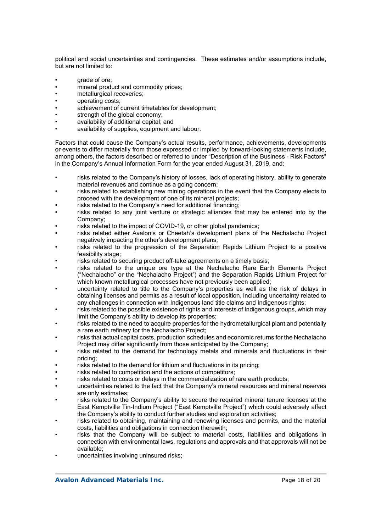political and social uncertainties and contingencies. These estimates and/or assumptions include, but are not limited to:

- grade of ore;
- mineral product and commodity prices;
- metallurgical recoveries;
- operating costs;
- achievement of current timetables for development;
- strength of the global economy;
- availability of additional capital; and
- availability of supplies, equipment and labour.

Factors that could cause the Company's actual results, performance, achievements, developments or events to differ materially from those expressed or implied by forward-looking statements include, among others, the factors described or referred to under "Description of the Business - Risk Factors" in the Company's Annual Information Form for the year ended August 31, 2019, and:

- risks related to the Company's history of losses, lack of operating history, ability to generate material revenues and continue as a going concern;
- risks related to establishing new mining operations in the event that the Company elects to proceed with the development of one of its mineral projects;
- risks related to the Company's need for additional financing;
- risks related to any joint venture or strategic alliances that may be entered into by the Company;
- risks related to the impact of COVID-19, or other global pandemics;
- risks related either Avalon's or Cheetah's development plans of the Nechalacho Project negatively impacting the other's development plans;
- risks related to the progression of the Separation Rapids Lithium Project to a positive feasibility stage:
- risks related to securing product off-take agreements on a timely basis;
- risks related to the unique ore type at the Nechalacho Rare Earth Elements Project ("Nechalacho" or the "Nechalacho Project") and the Separation Rapids Lithium Project for which known metallurgical processes have not previously been applied:
- uncertainty related to title to the Company's properties as well as the risk of delays in obtaining licenses and permits as a result of local opposition, including uncertainty related to any challenges in connection with Indigenous land title claims and Indigenous rights;
- risks related to the possible existence of rights and interests of Indigenous groups, which may limit the Company's ability to develop its properties;
- risks related to the need to acquire properties for the hydrometallurgical plant and potentially a rare earth refinery for the Nechalacho Project;
- risks that actual capital costs, production schedules and economic returns for the Nechalacho Project may differ significantly from those anticipated by the Company;
- risks related to the demand for technology metals and minerals and fluctuations in their pricing;
- risks related to the demand for lithium and fluctuations in its pricing;
- risks related to competition and the actions of competitors;
- risks related to costs or delays in the commercialization of rare earth products;
- uncertainties related to the fact that the Company's mineral resources and mineral reserves are only estimates;
- risks related to the Company's ability to secure the required mineral tenure licenses at the East Kemptville Tin-Indium Project ("East Kemptville Project") which could adversely affect the Company's ability to conduct further studies and exploration activities;
- risks related to obtaining, maintaining and renewing licenses and permits, and the material costs, liabilities and obligations in connection therewith;
- risks that the Company will be subject to material costs, liabilities and obligations in connection with environmental laws, regulations and approvals and that approvals will not be available;
- uncertainties involving uninsured risks: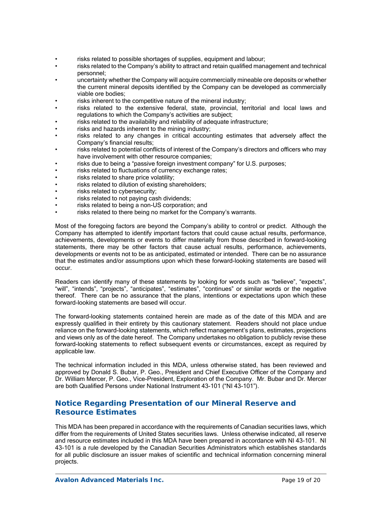- risks related to possible shortages of supplies, equipment and labour;
- risks related to the Company's ability to attract and retain qualified management and technical personnel;
- uncertainty whether the Company will acquire commercially mineable ore deposits or whether the current mineral deposits identified by the Company can be developed as commercially viable ore bodies;
- risks inherent to the competitive nature of the mineral industry;
- risks related to the extensive federal, state, provincial, territorial and local laws and regulations to which the Company's activities are subject;
- risks related to the availability and reliability of adequate infrastructure;
- risks and hazards inherent to the mining industry:
- risks related to any changes in critical accounting estimates that adversely affect the Company's financial results;
- risks related to potential conflicts of interest of the Company's directors and officers who may have involvement with other resource companies;
- risks due to being a "passive foreign investment company" for U.S. purposes;
- risks related to fluctuations of currency exchange rates;
- risks related to share price volatility;
- risks related to dilution of existing shareholders;
- risks related to cybersecurity;
- risks related to not paying cash dividends;
- risks related to being a non-US corporation; and
- risks related to there being no market for the Company's warrants.

Most of the foregoing factors are beyond the Company's ability to control or predict. Although the Company has attempted to identify important factors that could cause actual results, performance, achievements, developments or events to differ materially from those described in forward-looking statements, there may be other factors that cause actual results, performance, achievements, developments or events not to be as anticipated, estimated or intended. There can be no assurance that the estimates and/or assumptions upon which these forward-looking statements are based will occur.

Readers can identify many of these statements by looking for words such as "believe", "expects", "will", "intends", "projects", "anticipates", "estimates", "continues" or similar words or the negative thereof. There can be no assurance that the plans, intentions or expectations upon which these forward-looking statements are based will occur.

The forward-looking statements contained herein are made as of the date of this MDA and are expressly qualified in their entirety by this cautionary statement. Readers should not place undue reliance on the forward-looking statements, which reflect management's plans, estimates, projections and views only as of the date hereof. The Company undertakes no obligation to publicly revise these forward-looking statements to reflect subsequent events or circumstances, except as required by applicable law.

The technical information included in this MDA, unless otherwise stated, has been reviewed and approved by Donald S. Bubar, P. Geo., President and Chief Executive Officer of the Company and Dr. William Mercer, P. Geo., Vice-President, Exploration of the Company. Mr. Bubar and Dr. Mercer are both Qualified Persons under National Instrument 43-101 ("NI 43-101").

# **Notice Regarding Presentation of our Mineral Reserve and Resource Estimates**

This MDA has been prepared in accordance with the requirements of Canadian securities laws, which differ from the requirements of United States securities laws. Unless otherwise indicated, all reserve and resource estimates included in this MDA have been prepared in accordance with NI 43-101. NI 43-101 is a rule developed by the Canadian Securities Administrators which establishes standards for all public disclosure an issuer makes of scientific and technical information concerning mineral projects.